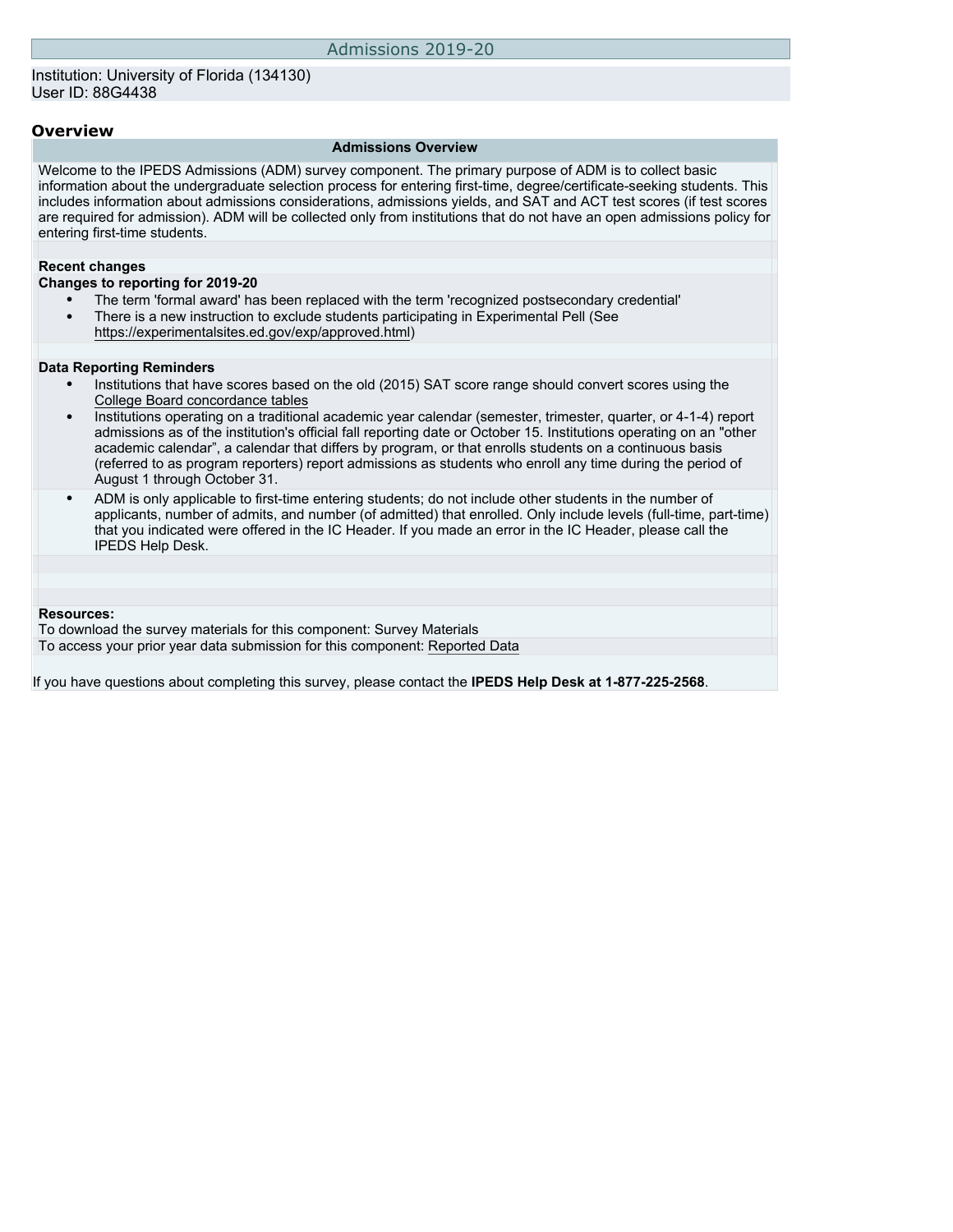### **Overview**

#### **Admissions Overview**

Welcome to the IPEDS Admissions (ADM) survey component. The primary purpose of ADM is to collect basic information about the undergraduate selection process for entering first-time, degree/certificate-seeking students. This includes information about admissions considerations, admissions yields, and SAT and ACT test scores (if test scores are required for admission). ADM will be collected only from institutions that do not have an open admissions policy for entering first-time students.

#### **Recent changes**

#### **Changes to reporting for 2019-20**

- The term 'formal award' has been replaced with the term 'recognized postsecondary credential'
- There is a new instruction to exclude students participating in Experimental Pell (See [https://experimentalsites.ed.gov/exp/approved.html\)](https://experimentalsites.ed.gov/exp/approved.html)

#### **Data Reporting Reminders**

- Institutions that have scores based on the old (2015) SAT score range should convert scores using the [College Board concordance tables](https://collegereadiness.collegeboard.org/educators/higher-ed/scoring-changes/concordance)
- Institutions operating on a traditional academic year calendar (semester, trimester, quarter, or 4-1-4) report admissions as of the institution's official fall reporting date or October 15. Institutions operating on an "other academic calendar", a calendar that differs by program, or that enrolls students on a continuous basis (referred to as program reporters) report admissions as students who enroll any time during the period of August 1 through October 31.
- ADM is only applicable to first-time entering students; do not include other students in the number of applicants, number of admits, and number (of admitted) that enrolled. Only include levels (full-time, part-time) that you indicated were offered in the IC Header. If you made an error in the IC Header, please call the IPEDS Help Desk.

#### **Resources:**

To download the survey materials for this component: [Survey Materials](https://surveys.nces.ed.gov/ipeds/VisIndex.aspx) To access your prior year data submission for this component: [Reported Data](http://192.168.102.89/ipeds/PriorYearDataRedirect.aspx?survey_id=14)

If you have questions about completing this survey, please contact the **IPEDS Help Desk at 1-877-225-2568**.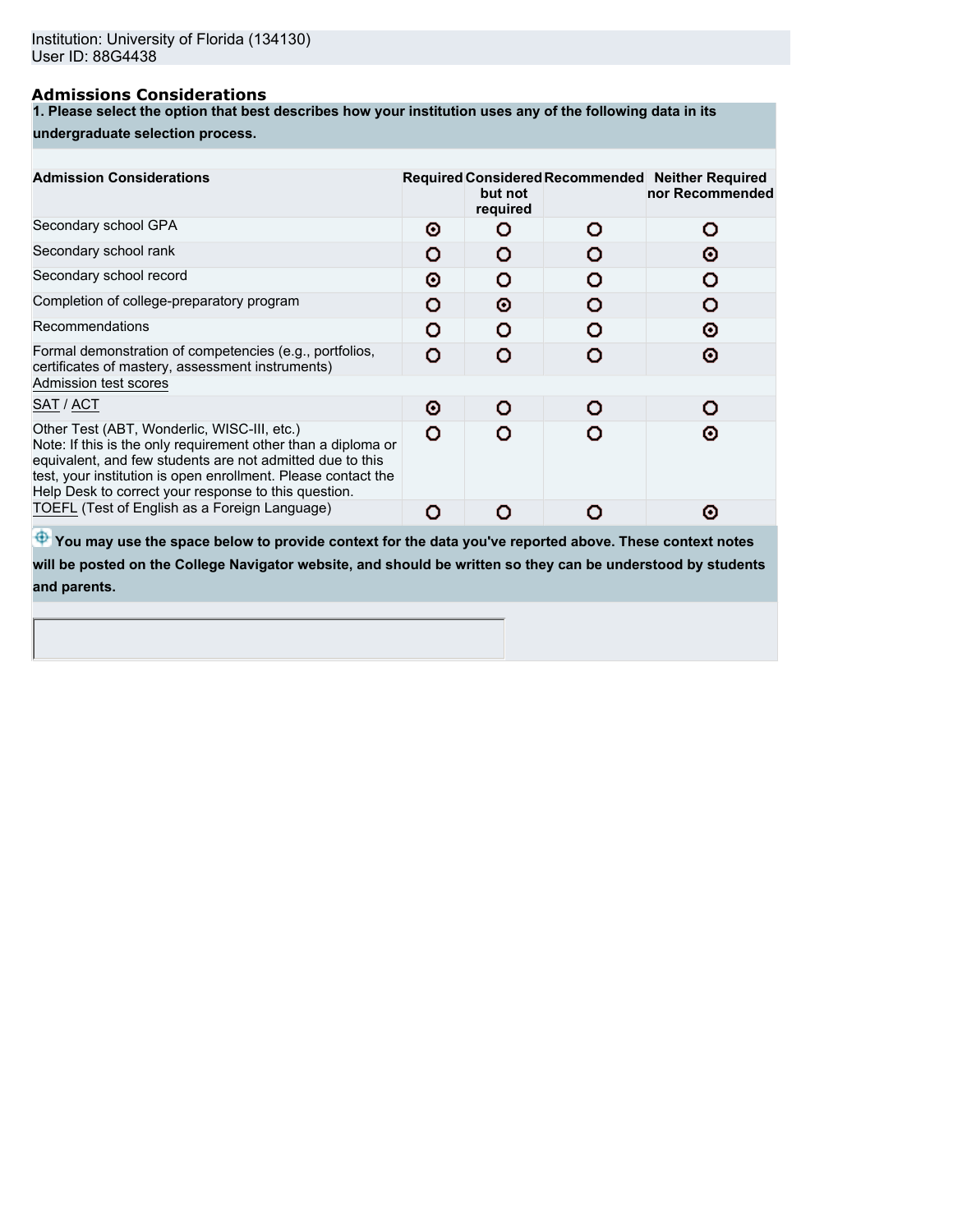### **Admissions Considerations**

**1. Please select the option that best describes how your institution uses any of the following data in its**

### **undergraduate selection process.**

| <b>Admission Considerations</b>                                                                                                                                                                                                                                                                    |   | but not<br>required | Required Considered Recommended Neither Required<br>nor Recommended |
|----------------------------------------------------------------------------------------------------------------------------------------------------------------------------------------------------------------------------------------------------------------------------------------------------|---|---------------------|---------------------------------------------------------------------|
| Secondary school GPA                                                                                                                                                                                                                                                                               | Θ | n                   | Ο                                                                   |
| Secondary school rank                                                                                                                                                                                                                                                                              | O |                     | Θ                                                                   |
| Secondary school record                                                                                                                                                                                                                                                                            | Θ | n                   |                                                                     |
| Completion of college-preparatory program                                                                                                                                                                                                                                                          | O | Θ                   |                                                                     |
| Recommendations                                                                                                                                                                                                                                                                                    | Ω | o                   | Θ                                                                   |
| Formal demonstration of competencies (e.g., portfolios,<br>certificates of mastery, assessment instruments)                                                                                                                                                                                        | Ω |                     | Θ                                                                   |
| Admission test scores                                                                                                                                                                                                                                                                              |   |                     |                                                                     |
| SAT / ACT                                                                                                                                                                                                                                                                                          | Θ | O                   |                                                                     |
| Other Test (ABT, Wonderlic, WISC-III, etc.)<br>Note: If this is the only requirement other than a diploma or<br>equivalent, and few students are not admitted due to this<br>test, your institution is open enrollment. Please contact the<br>Help Desk to correct your response to this question. | o |                     | ര                                                                   |
| TOEFL (Test of English as a Foreign Language)                                                                                                                                                                                                                                                      | o |                     | Θ                                                                   |
|                                                                                                                                                                                                                                                                                                    |   |                     |                                                                     |

 $\bigoplus$  **You may use the space below to provide context for the data you've reported above. These context notes will be posted on the College Navigator website, and should be written so they can be understood by students and parents.**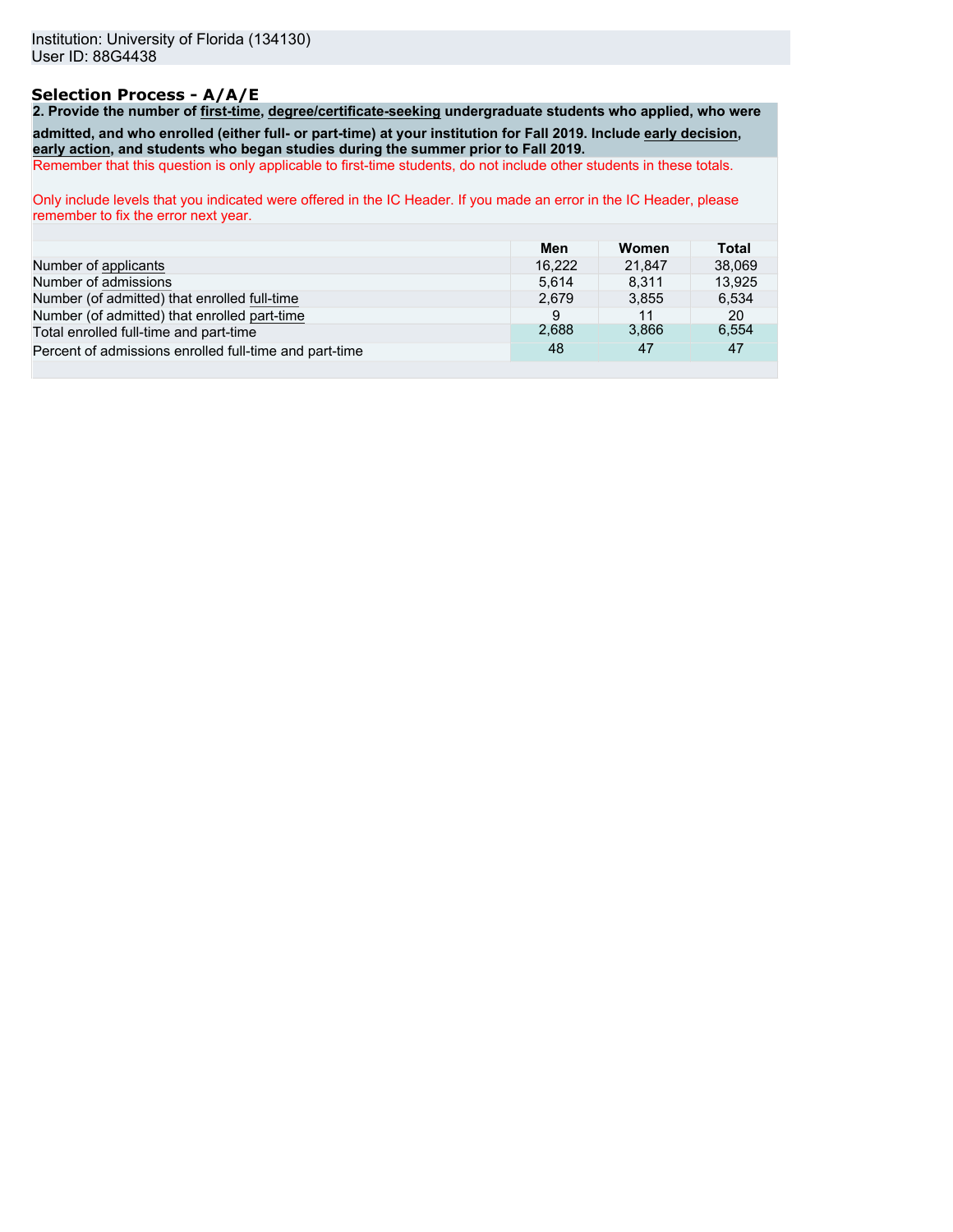# **Selection Process - A/A/E**

**2. Provide the number of first-time, degree/certificate-seeking undergraduate students who applied, who were admitted, and who enrolled (either full- or part-time) at your institution for Fall 2019. Include early decision, early action, and students who began studies during the summer prior to Fall 2019.**

Remember that this question is only applicable to first-time students, do not include other students in these totals.

Only include levels that you indicated were offered in the IC Header. If you made an error in the IC Header, please remember to fix the error next year.

|                                                        | Men    | Women  | Total  |
|--------------------------------------------------------|--------|--------|--------|
| Number of applicants                                   | 16.222 | 21.847 | 38.069 |
| Number of admissions                                   | 5.614  | 8.311  | 13.925 |
| Number (of admitted) that enrolled full-time           | 2.679  | 3.855  | 6.534  |
| Number (of admitted) that enrolled part-time           | 9      | 11     | 20     |
| Total enrolled full-time and part-time                 | 2,688  | 3,866  | 6,554  |
| Percent of admissions enrolled full-time and part-time | 48     | 47     | 47     |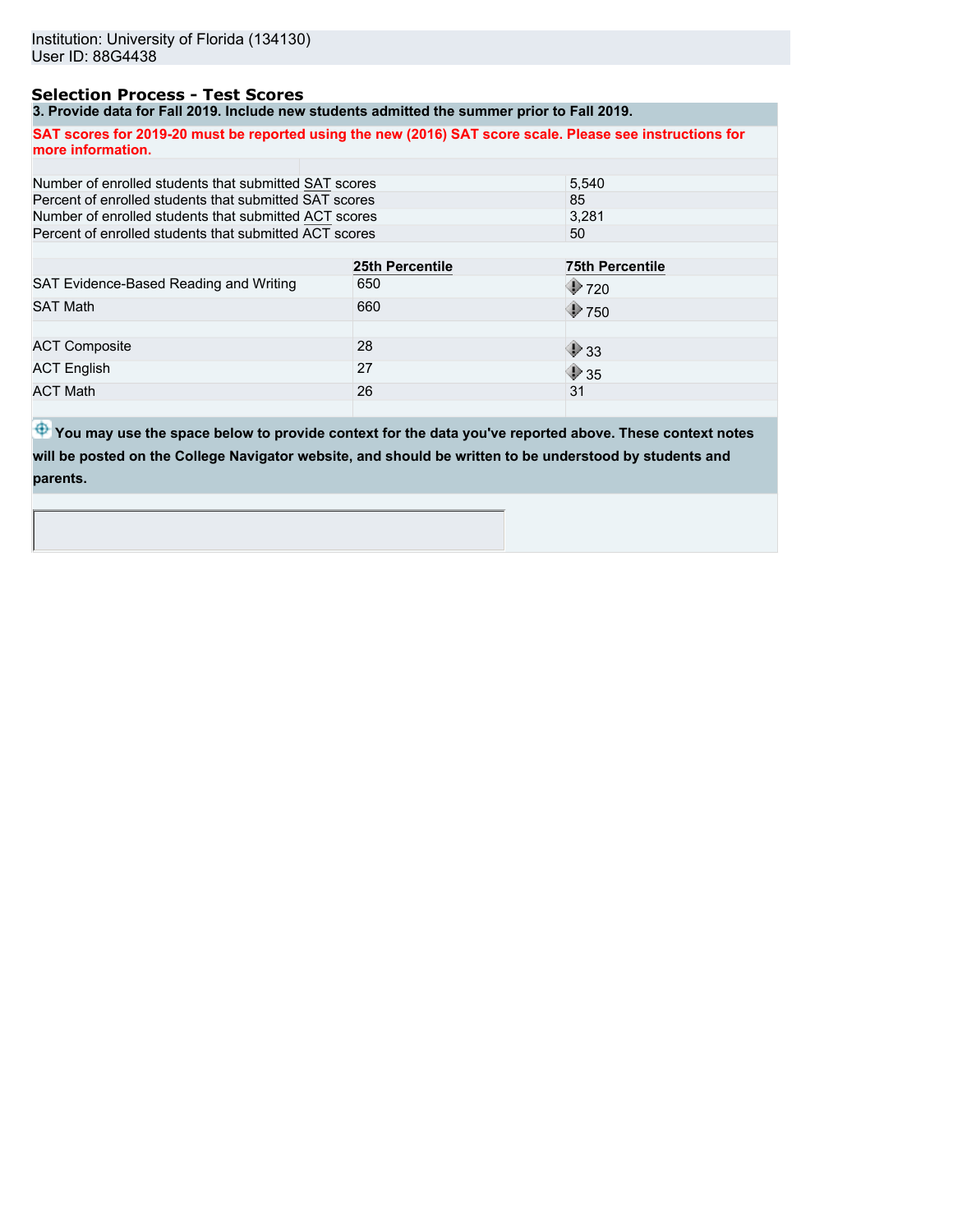# **Selection Process - Test Scores**

**3. Provide data for Fall 2019. Include new students admitted the summer prior to Fall 2019.**

**SAT scores for 2019-20 must be reported using the new (2016) SAT score scale. Please see instructions for more information.**

| Number of enrolled students that submitted SAT scores  |                 | 5.540                  |
|--------------------------------------------------------|-----------------|------------------------|
| Percent of enrolled students that submitted SAT scores |                 | 85                     |
| Number of enrolled students that submitted ACT scores  |                 | 3.281                  |
| Percent of enrolled students that submitted ACT scores |                 | 50                     |
|                                                        |                 |                        |
|                                                        | 25th Percentile | <b>75th Percentile</b> |
| SAT Evidence-Based Reading and Writing                 | 650             | $\bigcirc$ 720         |
| <b>SAT Math</b>                                        | 660             | $\bigcirc$ 750         |
|                                                        |                 |                        |
| <b>ACT Composite</b>                                   | 28              | $\bigcirc$ 33          |
| <b>ACT English</b>                                     | 27              | $\bigcirc$ 35          |
| <b>ACT Math</b>                                        | 26              | 31                     |
|                                                        |                 |                        |

**<sup>4</sup>** You may use the space below to provide context for the data you've reported above. These context notes **will be posted on the College Navigator website, and should be written to be understood by students and parents.**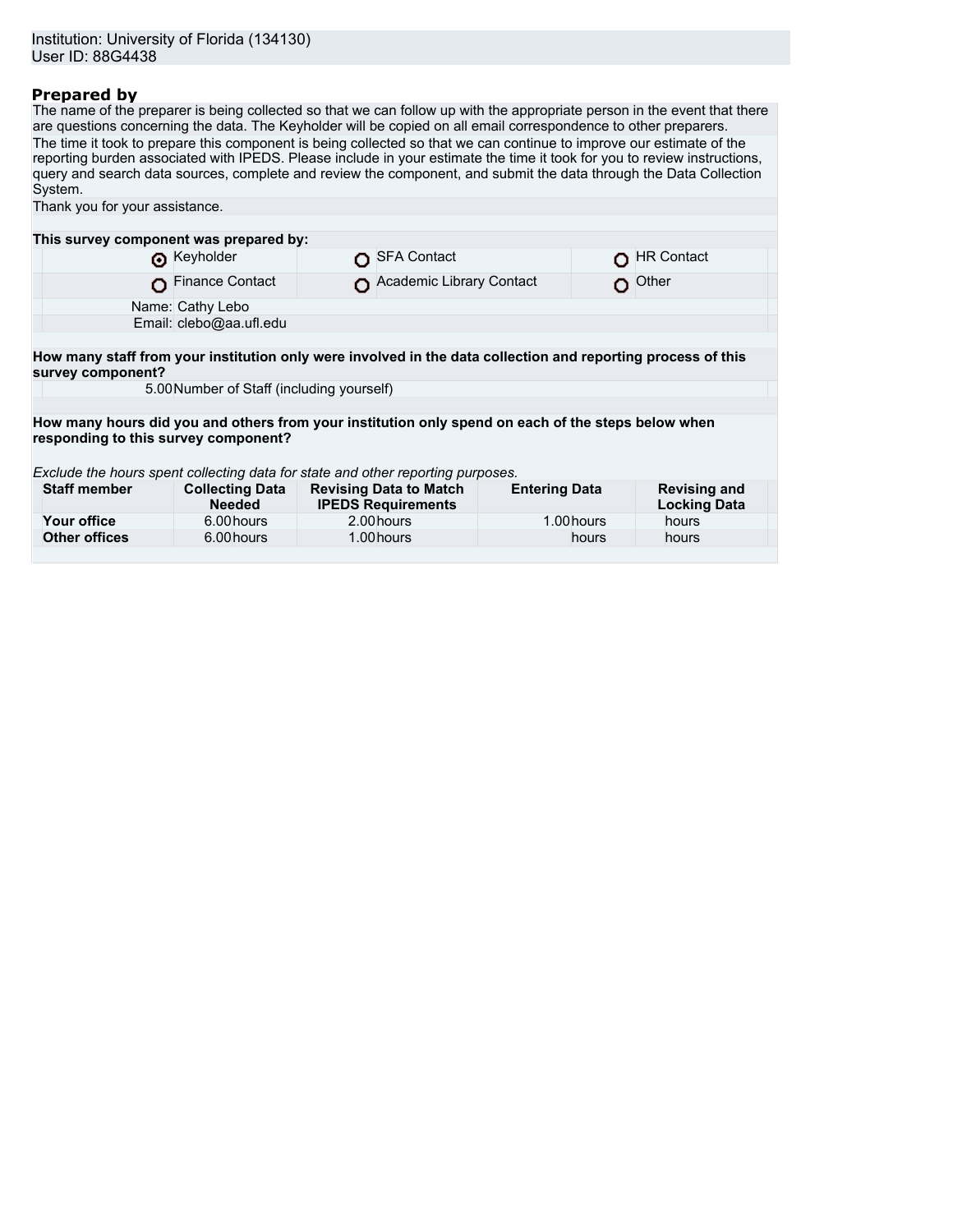### **Prepared by**

The name of the preparer is being collected so that we can follow up with the appropriate person in the event that there are questions concerning the data. The Keyholder will be copied on all email correspondence to other preparers. The time it took to prepare this component is being collected so that we can continue to improve our estimate of the reporting burden associated with IPEDS. Please include in your estimate the time it took for you to review instructions, query and search data sources, complete and review the component, and submit the data through the Data Collection System.

| Thank you for your assistance.                                                                                                    |                                         |  |                                                            |                      |   |                                            |
|-----------------------------------------------------------------------------------------------------------------------------------|-----------------------------------------|--|------------------------------------------------------------|----------------------|---|--------------------------------------------|
|                                                                                                                                   |                                         |  |                                                            |                      |   |                                            |
| This survey component was prepared by:                                                                                            |                                         |  |                                                            |                      |   |                                            |
|                                                                                                                                   | Reyholder                               |  | <b>SFA Contact</b>                                         |                      |   | <b>HR Contact</b>                          |
|                                                                                                                                   | Finance Contact                         |  | Academic Library Contact                                   |                      | o | Other                                      |
|                                                                                                                                   | Name: Cathy Lebo                        |  |                                                            |                      |   |                                            |
|                                                                                                                                   | Email: clebo@aa.ufl.edu                 |  |                                                            |                      |   |                                            |
|                                                                                                                                   |                                         |  |                                                            |                      |   |                                            |
| How many staff from your institution only were involved in the data collection and reporting process of this<br>survey component? |                                         |  |                                                            |                      |   |                                            |
| 5.00 Number of Staff (including yourself)                                                                                         |                                         |  |                                                            |                      |   |                                            |
|                                                                                                                                   |                                         |  |                                                            |                      |   |                                            |
| How many hours did you and others from your institution only spend on each of the steps below when                                |                                         |  |                                                            |                      |   |                                            |
| responding to this survey component?                                                                                              |                                         |  |                                                            |                      |   |                                            |
|                                                                                                                                   |                                         |  |                                                            |                      |   |                                            |
| Exclude the hours spent collecting data for state and other reporting purposes.                                                   |                                         |  |                                                            |                      |   |                                            |
| <b>Staff member</b>                                                                                                               | <b>Collecting Data</b><br><b>Needed</b> |  | <b>Revising Data to Match</b><br><b>IPEDS Requirements</b> | <b>Entering Data</b> |   | <b>Revising and</b><br><b>Locking Data</b> |
| Your office                                                                                                                       | 6.00 hours                              |  | 2.00 hours                                                 | 1.00 hours           |   | hours                                      |
| <b>Other offices</b>                                                                                                              | 6.00 hours                              |  | 1.00 hours                                                 | hours                |   | hours                                      |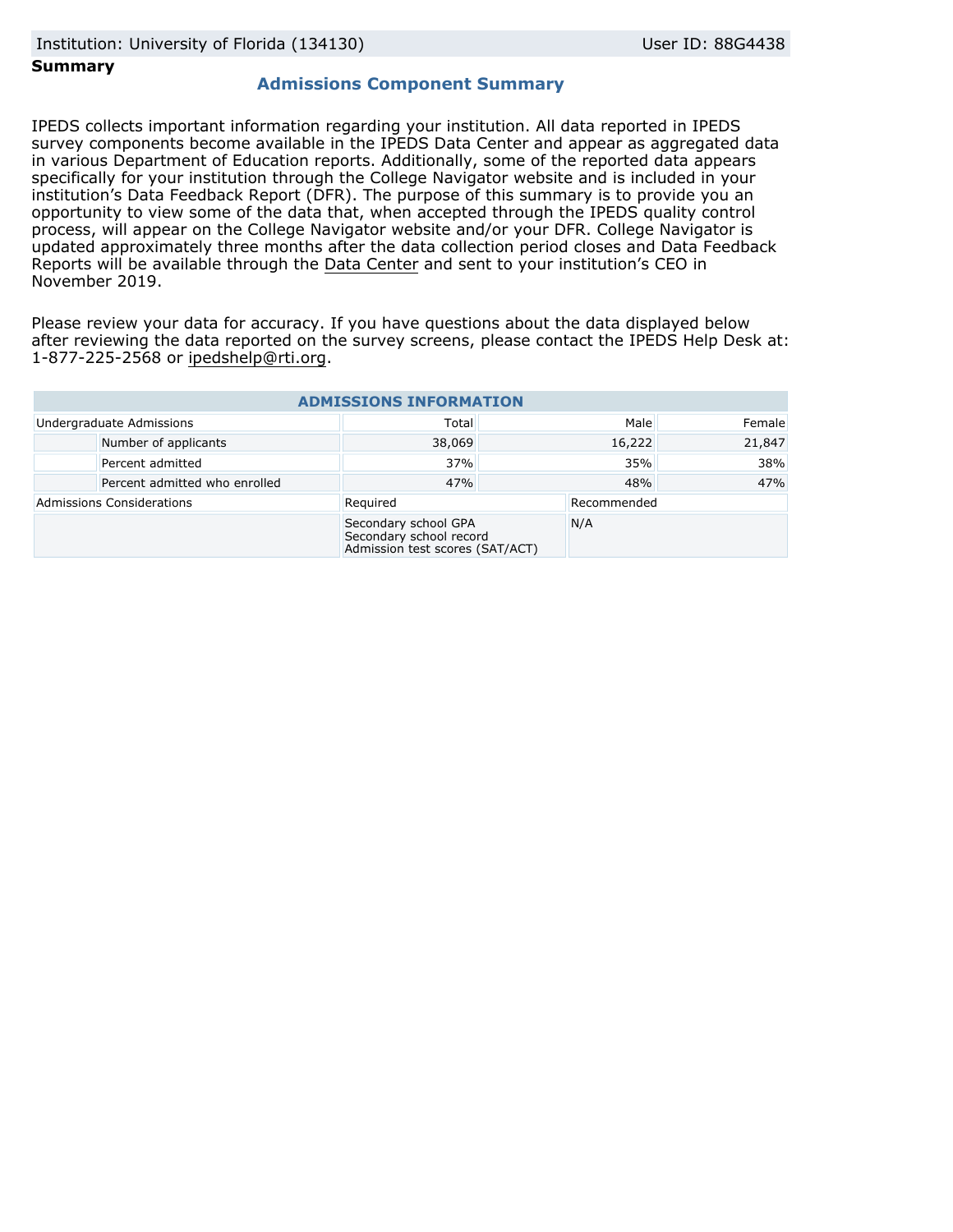### **Summary**

# **Admissions Component Summary**

IPEDS collects important information regarding your institution. All data reported in IPEDS survey components become available in the IPEDS Data Center and appear as aggregated data in various Department of Education reports. Additionally, some of the reported data appears specifically for your institution through the College Navigator website and is included in your institution's Data Feedback Report (DFR). The purpose of this summary is to provide you an opportunity to view some of the data that, when accepted through the IPEDS quality control process, will appear on the College Navigator website and/or your DFR. College Navigator is updated approximately three months after the data collection period closes and Data Feedback Reports will be available through the [Data Center](https://nces.ed.gov/ipeds/use-the-data) and sent to your institution's CEO in November 2019.

Please review your data for accuracy. If you have questions about the data displayed below after reviewing the data reported on the survey screens, please contact the IPEDS Help Desk at: 1-877-225-2568 or ipedshelp@rti.org.

| <b>ADMISSIONS INFORMATION</b>                                                      |                               |          |        |             |        |  |
|------------------------------------------------------------------------------------|-------------------------------|----------|--------|-------------|--------|--|
| Undergraduate Admissions                                                           |                               | Total    | Male   |             | Female |  |
|                                                                                    | Number of applicants          | 38,069   | 16,222 |             | 21,847 |  |
|                                                                                    | Percent admitted              | 37%      | 35%    |             | 38%    |  |
|                                                                                    | Percent admitted who enrolled | 47%      | 48%    |             | 47%    |  |
| Admissions Considerations                                                          |                               | Required |        | Recommended |        |  |
| Secondary school GPA<br>Secondary school record<br>Admission test scores (SAT/ACT) |                               | N/A      |        |             |        |  |